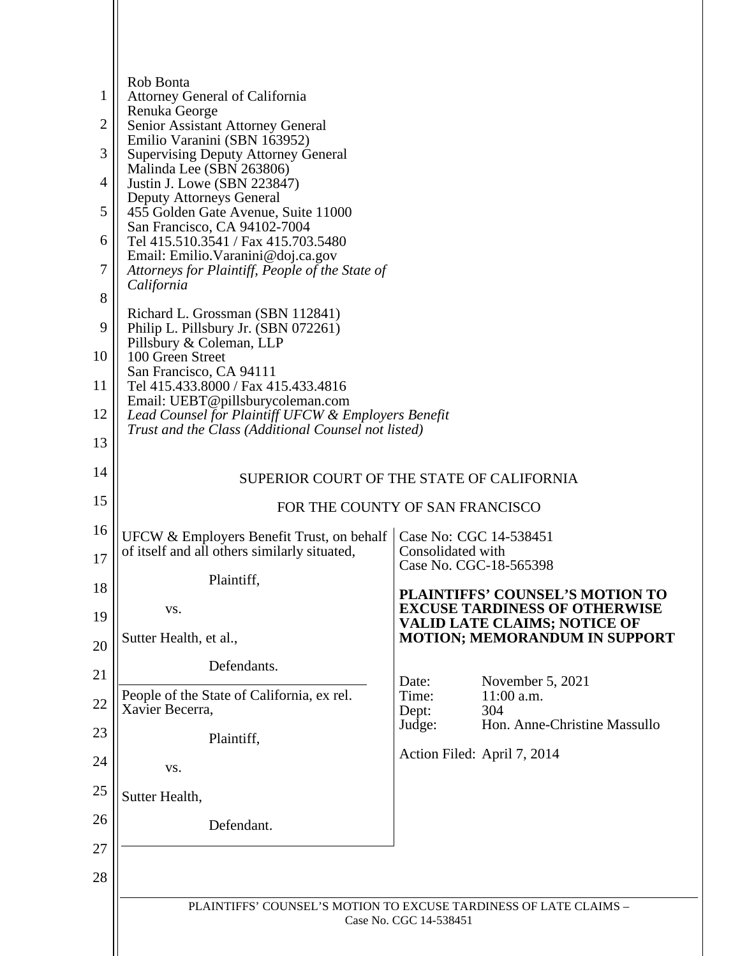|                | Rob Bonta                                                                                                  |                                                                             |                                                     |  |
|----------------|------------------------------------------------------------------------------------------------------------|-----------------------------------------------------------------------------|-----------------------------------------------------|--|
| 1              | <b>Attorney General of California</b>                                                                      |                                                                             |                                                     |  |
| 2              | Renuka George<br>Senior Assistant Attorney General                                                         |                                                                             |                                                     |  |
| 3              | Emilio Varanini (SBN 163952)<br><b>Supervising Deputy Attorney General</b>                                 |                                                                             |                                                     |  |
| $\overline{4}$ | Malinda Lee (SBN 263806)<br>Justin J. Lowe (SBN 223847)                                                    |                                                                             |                                                     |  |
| 5              | <b>Deputy Attorneys General</b><br>455 Golden Gate Avenue, Suite 11000                                     |                                                                             |                                                     |  |
| 6              | San Francisco, CA 94102-7004<br>Tel 415.510.3541 / Fax 415.703.5480                                        |                                                                             |                                                     |  |
| 7              | Email: Emilio. Varanini@doj.ca.gov<br>Attorneys for Plaintiff, People of the State of<br>California        |                                                                             |                                                     |  |
| 8              | Richard L. Grossman (SBN 112841)                                                                           |                                                                             |                                                     |  |
| 9              | Philip L. Pillsbury Jr. (SBN 072261)<br>Pillsbury & Coleman, LLP                                           |                                                                             |                                                     |  |
| 10             | 100 Green Street<br>San Francisco, CA 94111                                                                |                                                                             |                                                     |  |
| 11             | Tel 415.433.8000 / Fax 415.433.4816<br>Email: UEBT@pillsburycoleman.com                                    |                                                                             |                                                     |  |
| 12             | Lead Counsel for Plaintiff UFCW & Employers Benefit<br>Trust and the Class (Additional Counsel not listed) |                                                                             |                                                     |  |
| 13             |                                                                                                            |                                                                             |                                                     |  |
| 14             | SUPERIOR COURT OF THE STATE OF CALIFORNIA                                                                  |                                                                             |                                                     |  |
| 15             | FOR THE COUNTY OF SAN FRANCISCO                                                                            |                                                                             |                                                     |  |
| 16             | <b>UFCW &amp; Employers Benefit Trust, on behalf</b>                                                       | Case No: CGC 14-538451                                                      |                                                     |  |
| 17             | of itself and all others similarly situated,                                                               | Consolidated with<br>Case No. CGC-18-565398                                 |                                                     |  |
| 18             | Plaintiff,                                                                                                 |                                                                             | PLAINTIFFS' COUNSEL'S MOTION TO                     |  |
| 19             | VS.                                                                                                        | <b>EXCUSE TARDINESS OF OTHERWISE</b><br><b>VALID LATE CLAIMS; NOTICE OF</b> |                                                     |  |
| 20             | Sutter Health, et al.,<br>Defendants.                                                                      |                                                                             | <b>MOTION; MEMORANDUM IN SUPPORT</b>                |  |
| 21             | People of the State of California, ex rel.                                                                 | Date:                                                                       | November 5, 2021                                    |  |
| 22             | Xavier Becerra,                                                                                            | Time:<br>Dept:                                                              | $11:00$ a.m.<br>304<br>Hon. Anne-Christine Massullo |  |
| 23             | Plaintiff,                                                                                                 | Judge:                                                                      |                                                     |  |
| 24             | VS.                                                                                                        |                                                                             | Action Filed: April 7, 2014                         |  |
| 25             | Sutter Health,                                                                                             |                                                                             |                                                     |  |
| 26             | Defendant.                                                                                                 |                                                                             |                                                     |  |
| 27             |                                                                                                            |                                                                             |                                                     |  |
| 28             |                                                                                                            |                                                                             |                                                     |  |
|                | PLAINTIFFS' COUNSEL'S MOTION TO EXCUSE TARDINESS OF LATE CLAIMS -<br>Case No. CGC 14-538451                |                                                                             |                                                     |  |
|                |                                                                                                            |                                                                             |                                                     |  |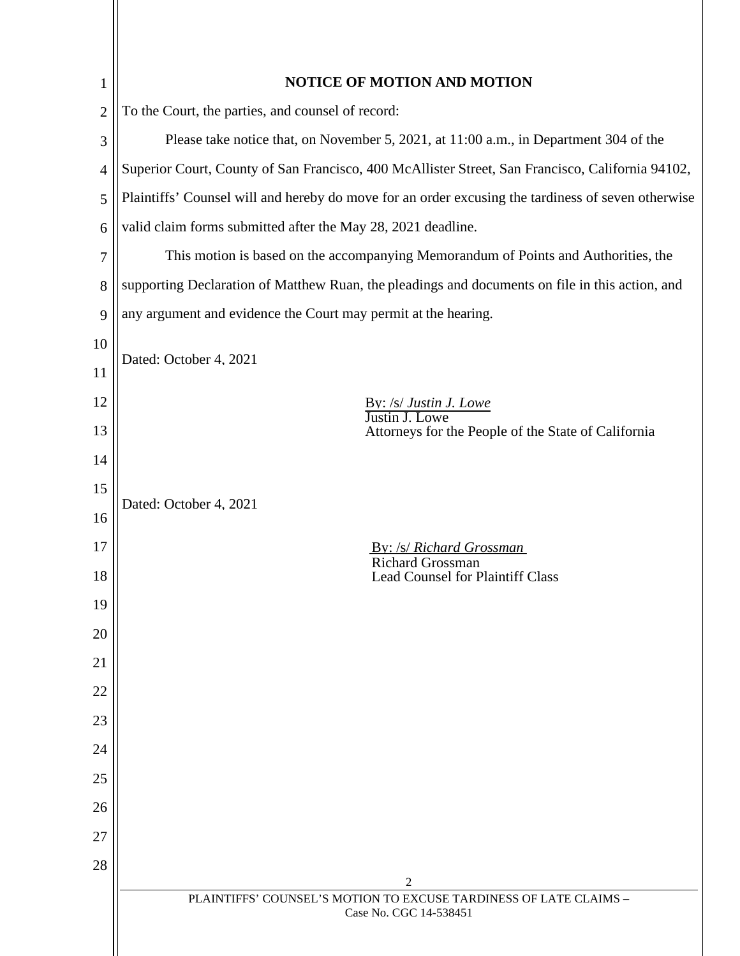| <b>NOTICE OF MOTION AND MOTION</b>                                                                 |  |  |  |
|----------------------------------------------------------------------------------------------------|--|--|--|
| To the Court, the parties, and counsel of record:                                                  |  |  |  |
| Please take notice that, on November 5, 2021, at 11:00 a.m., in Department 304 of the              |  |  |  |
| Superior Court, County of San Francisco, 400 McAllister Street, San Francisco, California 94102,   |  |  |  |
| Plaintiffs' Counsel will and hereby do move for an order excusing the tardiness of seven otherwise |  |  |  |
| valid claim forms submitted after the May 28, 2021 deadline.                                       |  |  |  |
| This motion is based on the accompanying Memorandum of Points and Authorities, the                 |  |  |  |
| supporting Declaration of Matthew Ruan, the pleadings and documents on file in this action, and    |  |  |  |
| any argument and evidence the Court may permit at the hearing.                                     |  |  |  |
|                                                                                                    |  |  |  |
| Dated: October 4, 2021                                                                             |  |  |  |
| By: /s/ Justin J. Lowe                                                                             |  |  |  |
| Justin J. Lowe<br>Attorneys for the People of the State of California                              |  |  |  |
|                                                                                                    |  |  |  |
| Dated: October 4, 2021                                                                             |  |  |  |
|                                                                                                    |  |  |  |
| By: /s/ Richard Grossman<br><b>Richard Grossman</b>                                                |  |  |  |
| Lead Counsel for Plaintiff Class                                                                   |  |  |  |
|                                                                                                    |  |  |  |
|                                                                                                    |  |  |  |
|                                                                                                    |  |  |  |
|                                                                                                    |  |  |  |
|                                                                                                    |  |  |  |
|                                                                                                    |  |  |  |
|                                                                                                    |  |  |  |
|                                                                                                    |  |  |  |
|                                                                                                    |  |  |  |
| 2                                                                                                  |  |  |  |
| PLAINTIFFS' COUNSEL'S MOTION TO EXCUSE TARDINESS OF LATE CLAIMS -<br>Case No. CGC 14-538451        |  |  |  |
|                                                                                                    |  |  |  |
|                                                                                                    |  |  |  |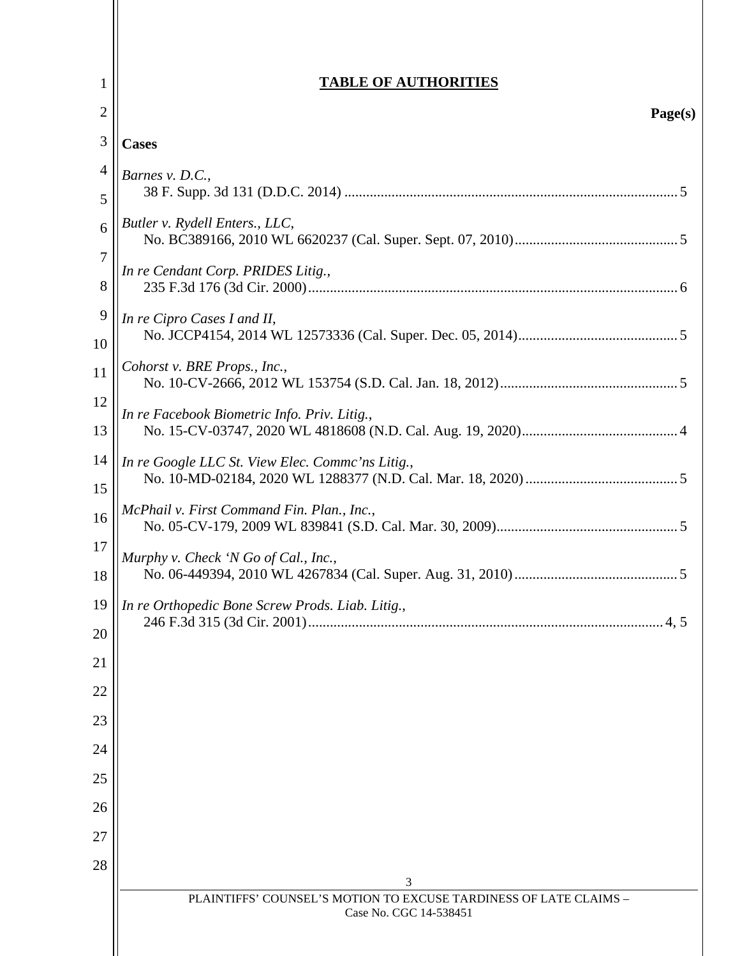| 1                     | <b>TABLE OF AUTHORITIES</b>                                            |
|-----------------------|------------------------------------------------------------------------|
| $\overline{2}$        | Page(s)                                                                |
| 3                     | <b>Cases</b>                                                           |
| $\overline{4}$<br>5   | Barnes v. D.C.,                                                        |
| 6                     | Butler v. Rydell Enters., LLC,                                         |
| $\boldsymbol{7}$<br>8 | In re Cendant Corp. PRIDES Litig.,                                     |
| 9<br>10               | In re Cipro Cases I and II,                                            |
| 11                    | Cohorst v. BRE Props., Inc.,                                           |
| 12<br>13              | In re Facebook Biometric Info. Priv. Litig.,                           |
| 14<br>15              | In re Google LLC St. View Elec. Commc'ns Litig.,                       |
| 16                    | McPhail v. First Command Fin. Plan., Inc.,                             |
| 17<br>18              | Murphy v. Check 'N Go of Cal., Inc.,                                   |
| 19<br>20              | In re Orthopedic Bone Screw Prods. Liab. Litig.,                       |
| 21                    |                                                                        |
| 22                    |                                                                        |
| 23<br>24              |                                                                        |
| 25                    |                                                                        |
| 26                    |                                                                        |
| 27                    |                                                                        |
| 28                    |                                                                        |
|                       | 3<br>PLAINTIFFS' COUNSEL'S MOTION TO EXCUSE TARDINESS OF LATE CLAIMS - |
|                       | Case No. CGC 14-538451                                                 |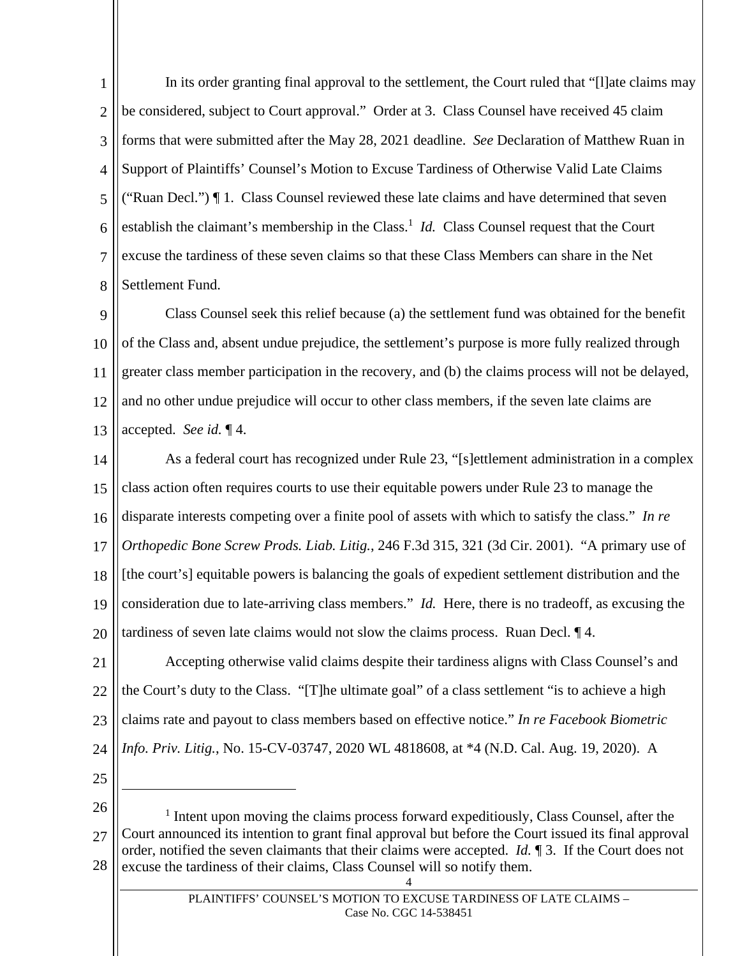1  $\mathcal{L}$ 3 4 5 6 7 8 In its order granting final approval to the settlement, the Court ruled that "[l]ate claims may be considered, subject to Court approval." Order at 3. Class Counsel have received 45 claim forms that were submitted after the May 28, 2021 deadline. *See* Declaration of Matthew Ruan in Support of Plaintiffs' Counsel's Motion to Excuse Tardiness of Otherwise Valid Late Claims ("Ruan Decl.") ¶ 1. Class Counsel reviewed these late claims and have determined that seven establish the claimant's membership in the Class.<sup>1</sup> *Id.* Class Counsel request that the Court excuse the tardiness of these seven claims so that these Class Members can share in the Net Settlement Fund.

9 10 11 12 13 Class Counsel seek this relief because (a) the settlement fund was obtained for the benefit of the Class and, absent undue prejudice, the settlement's purpose is more fully realized through greater class member participation in the recovery, and (b) the claims process will not be delayed, and no other undue prejudice will occur to other class members, if the seven late claims are accepted. *See id.* ¶ 4.

14 15 16 17 18 19 20 As a federal court has recognized under Rule 23, "[s]ettlement administration in a complex class action often requires courts to use their equitable powers under Rule 23 to manage the disparate interests competing over a finite pool of assets with which to satisfy the class." *In re Orthopedic Bone Screw Prods. Liab. Litig.*, 246 F.3d 315, 321 (3d Cir. 2001). "A primary use of [the court's] equitable powers is balancing the goals of expedient settlement distribution and the consideration due to late-arriving class members." *Id.* Here, there is no tradeoff, as excusing the tardiness of seven late claims would not slow the claims process. Ruan Decl. ¶ 4.

21 22 23 24 Accepting otherwise valid claims despite their tardiness aligns with Class Counsel's and the Court's duty to the Class. "[T]he ultimate goal" of a class settlement "is to achieve a high claims rate and payout to class members based on effective notice." *In re Facebook Biometric Info. Priv. Litig.*, No. 15-CV-03747, 2020 WL 4818608, at \*4 (N.D. Cal. Aug. 19, 2020). A

25

26 27 28 <sup>1</sup> Intent upon moving the claims process forward expeditiously, Class Counsel, after the Court announced its intention to grant final approval but before the Court issued its final approval order, notified the seven claimants that their claims were accepted. *Id.* ¶ 3. If the Court does not excuse the tardiness of their claims, Class Counsel will so notify them.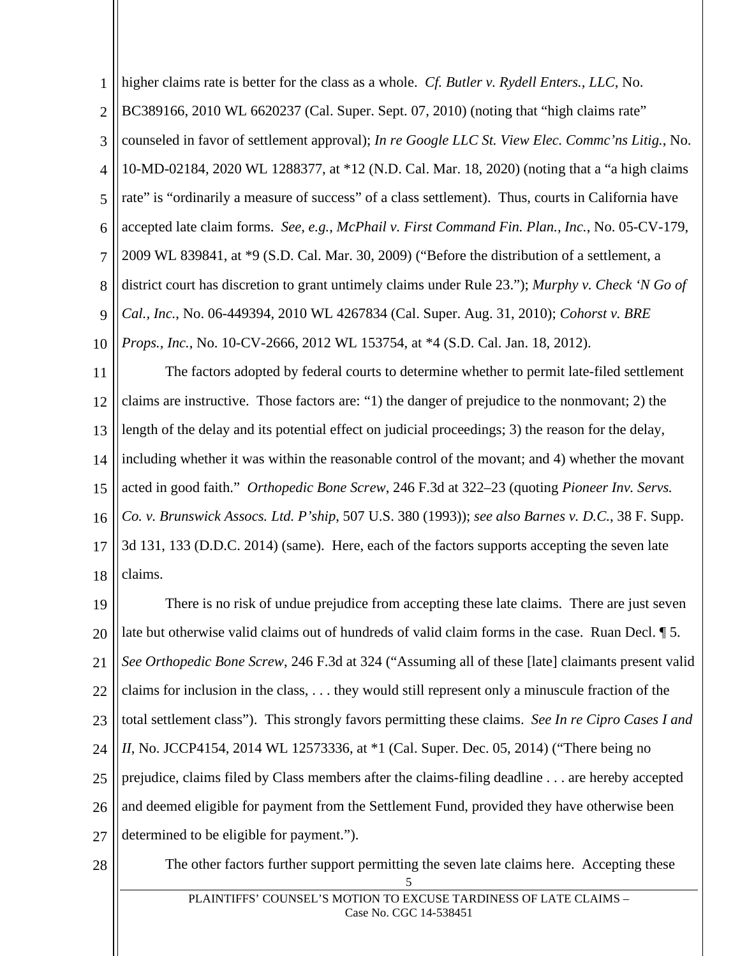1 2 3 4 5 6 7 8 9 10 higher claims rate is better for the class as a whole. *Cf. Butler v. Rydell Enters., LLC*, No. BC389166, 2010 WL 6620237 (Cal. Super. Sept. 07, 2010) (noting that "high claims rate" counseled in favor of settlement approval); *In re Google LLC St. View Elec. Commc'ns Litig.*, No. 10-MD-02184, 2020 WL 1288377, at \*12 (N.D. Cal. Mar. 18, 2020) (noting that a "a high claims rate" is "ordinarily a measure of success" of a class settlement). Thus, courts in California have accepted late claim forms. *See, e.g.*, *McPhail v. First Command Fin. Plan., Inc.*, No. 05-CV-179, 2009 WL 839841, at \*9 (S.D. Cal. Mar. 30, 2009) ("Before the distribution of a settlement, a district court has discretion to grant untimely claims under Rule 23."); *Murphy v. Check 'N Go of Cal., Inc.*, No. 06-449394, 2010 WL 4267834 (Cal. Super. Aug. 31, 2010); *Cohorst v. BRE Props., Inc.*, No. 10-CV-2666, 2012 WL 153754, at \*4 (S.D. Cal. Jan. 18, 2012).

11 12 13 14 15 16 17 18 The factors adopted by federal courts to determine whether to permit late-filed settlement claims are instructive. Those factors are: "1) the danger of prejudice to the nonmovant; 2) the length of the delay and its potential effect on judicial proceedings; 3) the reason for the delay, including whether it was within the reasonable control of the movant; and 4) whether the movant acted in good faith." *Orthopedic Bone Screw*, 246 F.3d at 322–23 (quoting *Pioneer Inv. Servs. Co. v. Brunswick Assocs. Ltd. P'ship*, 507 U.S. 380 (1993)); *see also Barnes v. D.C.*, 38 F. Supp. 3d 131, 133 (D.D.C. 2014) (same). Here, each of the factors supports accepting the seven late claims.

19 20 21 22 23 24 25 26 27 There is no risk of undue prejudice from accepting these late claims. There are just seven late but otherwise valid claims out of hundreds of valid claim forms in the case. Ruan Decl. ¶ 5. *See Orthopedic Bone Screw*, 246 F.3d at 324 ("Assuming all of these [late] claimants present valid claims for inclusion in the class, . . . they would still represent only a minuscule fraction of the total settlement class"). This strongly favors permitting these claims. *See In re Cipro Cases I and II*, No. JCCP4154, 2014 WL 12573336, at \*1 (Cal. Super. Dec. 05, 2014) ("There being no prejudice, claims filed by Class members after the claims-filing deadline . . . are hereby accepted and deemed eligible for payment from the Settlement Fund, provided they have otherwise been determined to be eligible for payment.").

28

5 The other factors further support permitting the seven late claims here. Accepting these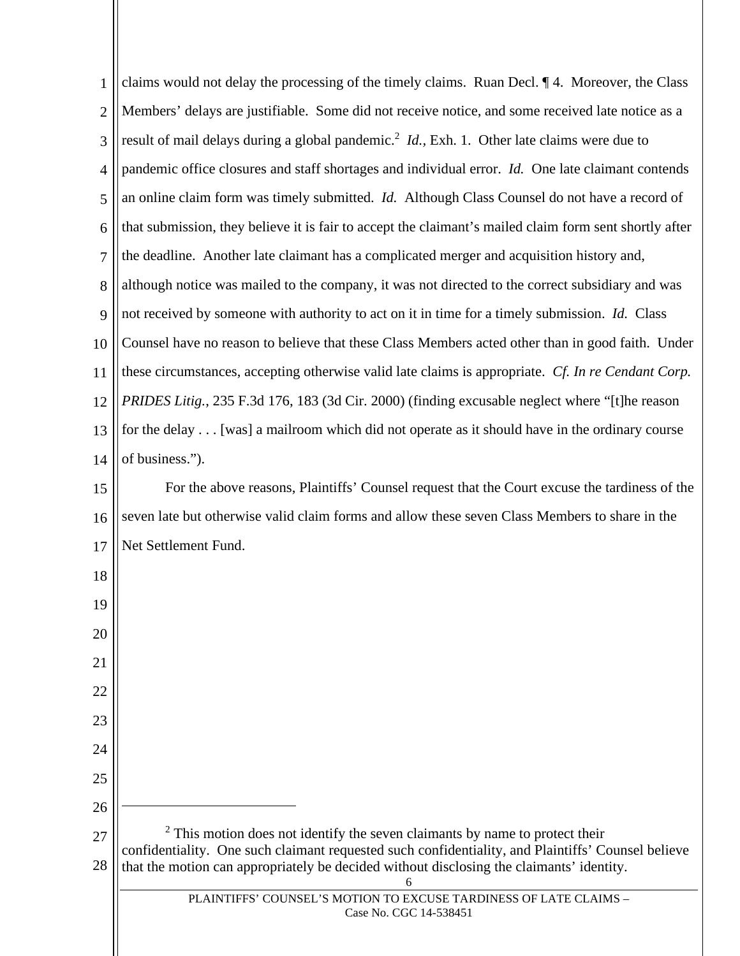| 1              | claims would not delay the processing of the timely claims. Ruan Decl. 14. Moreover, the Class                                                                                                 |  |  |
|----------------|------------------------------------------------------------------------------------------------------------------------------------------------------------------------------------------------|--|--|
| $\overline{2}$ | Members' delays are justifiable. Some did not receive notice, and some received late notice as a                                                                                               |  |  |
| 3              | result of mail delays during a global pandemic. <sup>2</sup> <i>Id.</i> , Exh. 1. Other late claims were due to                                                                                |  |  |
| 4              | pandemic office closures and staff shortages and individual error. Id. One late claimant contends                                                                                              |  |  |
| 5              | an online claim form was timely submitted. <i>Id.</i> Although Class Counsel do not have a record of                                                                                           |  |  |
| 6              | that submission, they believe it is fair to accept the claimant's mailed claim form sent shortly after                                                                                         |  |  |
| 7              | the deadline. Another late claimant has a complicated merger and acquisition history and,                                                                                                      |  |  |
| 8              | although notice was mailed to the company, it was not directed to the correct subsidiary and was                                                                                               |  |  |
| 9              | not received by someone with authority to act on it in time for a timely submission. Id. Class                                                                                                 |  |  |
| 10             | Counsel have no reason to believe that these Class Members acted other than in good faith. Under                                                                                               |  |  |
| 11             | these circumstances, accepting otherwise valid late claims is appropriate. Cf. In re Cendant Corp.                                                                                             |  |  |
| 12             | PRIDES Litig., 235 F.3d 176, 183 (3d Cir. 2000) (finding excusable neglect where "[t]he reason                                                                                                 |  |  |
| 13             | for the delay [was] a mailroom which did not operate as it should have in the ordinary course                                                                                                  |  |  |
| 14             | of business.").                                                                                                                                                                                |  |  |
| 15             | For the above reasons, Plaintiffs' Counsel request that the Court excuse the tardiness of the                                                                                                  |  |  |
| 16             | seven late but otherwise valid claim forms and allow these seven Class Members to share in the                                                                                                 |  |  |
| 17             | Net Settlement Fund.                                                                                                                                                                           |  |  |
| 18             |                                                                                                                                                                                                |  |  |
| 19             |                                                                                                                                                                                                |  |  |
| 20             |                                                                                                                                                                                                |  |  |
| 21             |                                                                                                                                                                                                |  |  |
| 22             |                                                                                                                                                                                                |  |  |
| 23             |                                                                                                                                                                                                |  |  |
| 24             |                                                                                                                                                                                                |  |  |
| 25             |                                                                                                                                                                                                |  |  |
| 26             |                                                                                                                                                                                                |  |  |
| 27             | $2$ This motion does not identify the seven claimants by name to protect their                                                                                                                 |  |  |
| 28             | confidentiality. One such claimant requested such confidentiality, and Plaintiffs' Counsel believe<br>that the motion can appropriately be decided without disclosing the claimants' identity. |  |  |
|                | 6<br>PLAINTIFFS' COUNSEL'S MOTION TO EXCUSE TARDINESS OF LATE CLAIMS -                                                                                                                         |  |  |
|                | Case No. CGC 14-538451                                                                                                                                                                         |  |  |